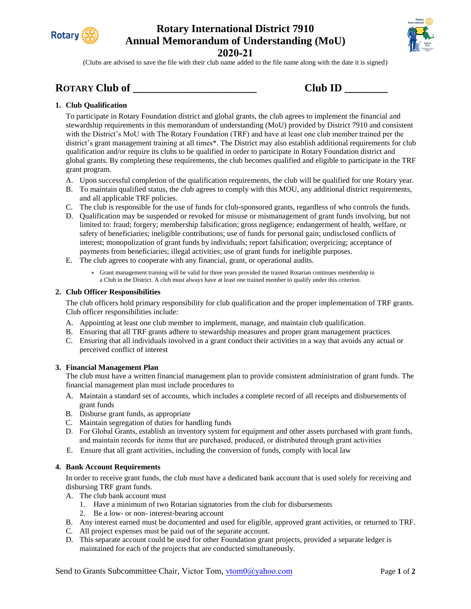

# **Rotary International District 7910 Annual Memorandum of Understanding (MoU)**



**2020-21**

(Clubs are advised to save the file with their club name added to the file name along with the date it is signed)

## **ROTARY Club of \_\_\_\_\_\_\_\_\_\_\_\_\_\_\_\_\_\_\_\_\_\_\_ Club ID \_\_\_\_\_\_\_\_**

| Club ID |  |
|---------|--|
|         |  |

### **1. Club Qualification**

To participate in Rotary Foundation district and global grants, the club agrees to implement the financial and stewardship requirements in this memorandum of understanding (MoU) provided by District 7910 and consistent with the District's MoU with The Rotary Foundation (TRF) and have at least one club member trained per the district's grant management training at all times\*. The District may also establish additional requirements for club qualification and/or require its clubs to be qualified in order to participate in Rotary Foundation district and global grants. By completing these requirements, the club becomes qualified and eligible to participate in the TRF grant program.

- A. Upon successful completion of the qualification requirements, the club will be qualified for one Rotary year.
- B. To maintain qualified status, the club agrees to comply with this MOU, any additional district requirements, and all applicable TRF policies.
- C. The club is responsible for the use of funds for club-sponsored grants, regardless of who controls the funds.
- D. Qualification may be suspended or revoked for misuse or mismanagement of grant funds involving, but not limited to: fraud; forgery; membership falsification; gross negligence; endangerment of health, welfare, or safety of beneficiaries; ineligible contributions; use of funds for personal gain; undisclosed conflicts of interest; monopolization of grant funds by individuals; report falsification; overpricing; acceptance of payments from beneficiaries; illegal activities; use of grant funds for ineligible purposes.
- E. The club agrees to cooperate with any financial, grant, or operational audits.
	- \* Grant management training will be valid for three years provided the trained Rotarian continues membership in a Club in the District. A club must always have at least one trained member to qualify under this criterion.

### **2. Club Officer Responsibilities**

The club officers hold primary responsibility for club qualification and the proper implementation of TRF grants. Club officer responsibilities include:

- A. Appointing at least one club member to implement, manage, and maintain club qualification.
- B. Ensuring that all TRF grants adhere to stewardship measures and proper grant management practices
- C. Ensuring that all individuals involved in a grant conduct their activities in a way that avoids any actual or perceived conflict of interest

### **3. Financial Management Plan**

The club must have a written financial management plan to provide consistent administration of grant funds. The financial management plan must include procedures to

- A. Maintain a standard set of accounts, which includes a complete record of all receipts and disbursements of grant funds
- B. Disburse grant funds, as appropriate
- C. Maintain segregation of duties for handling funds
- D. For Global Grants, establish an inventory system for equipment and other assets purchased with grant funds, and maintain records for items that are purchased, produced, or distributed through grant activities
- E. Ensure that all grant activities, including the conversion of funds, comply with local law

### **4. Bank Account Requirements**

In order to receive grant funds, the club must have a dedicated bank account that is used solely for receiving and disbursing TRF grant funds.

- A. The club bank account must
	- 1. Have a minimum of two Rotarian signatories from the club for disbursements
	- 2. Be a low- or non- interest-bearing account
- B. Any interest earned must be documented and used for eligible, approved grant activities, or returned to TRF.
- C. All project expenses must be paid out of the separate account.
- D. This separate account could be used for other Foundation grant projects, provided a separate ledger is maintained for each of the projects that are conducted simultaneously.